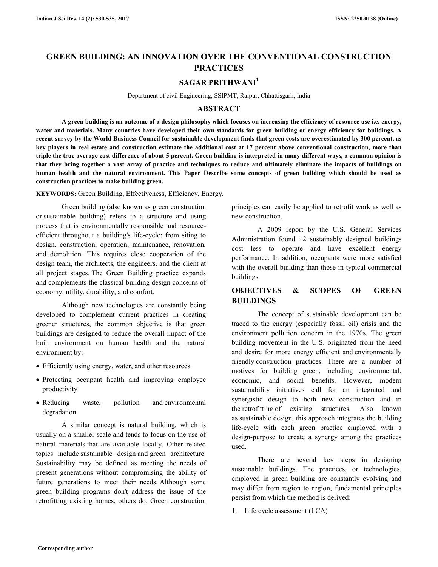# **GREEN BUILDING: AN INNOVATION OVER THE CONVENTIONAL CONSTRUCTION PRACTICES**

## **SAGAR PRITHWANI<sup>1</sup>**

Department of civil Engineering, SSIPMT, Raipur, Chhattisgarh, India

## **ABSTRACT**

 **A green building is an outcome of a design philosophy which focuses on increasing the efficiency of resource use i.e. energy, water and materials. Many countries have developed their own standards for green building or energy efficiency for buildings. A recent survey by the World Business Council for sustainable development finds that green costs are overestimated by 300 percent, as key players in real estate and construction estimate the additional cost at 17 percent above conventional construction, more than triple the true average cost difference of about 5 percent. Green building is interpreted in many different ways, a common opinion is that they bring together a vast array of practice and techniques to reduce and ultimately eliminate the impacts of buildings on human health and the natural environment. This Paper Describe some concepts of green building which should be used as construction practices to make building green.** 

**KEYWORDS:** Green Building, Effectiveness, Efficiency, Energy.

 Green building (also known as green construction or sustainable building) refers to a structure and using process that is environmentally responsible and resourceefficient throughout a building's life-cycle: from siting to design, construction, operation, maintenance, renovation, and demolition. This requires close cooperation of the design team, the architects, the engineers, and the client at all project stages. The Green Building practice expands and complements the classical building design concerns of economy, utility, durability, and comfort.

 Although new technologies are constantly being developed to complement current practices in creating greener structures, the common objective is that green buildings are designed to reduce the overall impact of the built environment on human health and the natural environment by:

- Efficiently using energy, water, and other resources.
- Protecting occupant health and improving employee productivity
- Reducing waste, pollution and environmental degradation

 A similar concept is natural building, which is usually on a smaller scale and tends to focus on the use of natural materials that are available locally. Other related topics include sustainable design and green architecture. Sustainability may be defined as meeting the needs of present generations without compromising the ability of future generations to meet their needs. Although some green building programs don't address the issue of the retrofitting existing homes, others do. Green construction

principles can easily be applied to retrofit work as well as new construction.

 A 2009 report by the U.S. General Services Administration found 12 sustainably designed buildings cost less to operate and have excellent energy performance. In addition, occupants were more satisfied with the overall building than those in typical commercial buildings.

## **OBJECTIVES & SCOPES OF GREEN BUILDINGS**

 The concept of sustainable development can be traced to the energy (especially fossil oil) crisis and the environment pollution concern in the 1970s. The green building movement in the U.S. originated from the need and desire for more energy efficient and environmentally friendly construction practices. There are a number of motives for building green, including environmental, economic, and social benefits. However, modern sustainability initiatives call for an integrated and synergistic design to both new construction and in the retrofitting of existing structures. Also known as sustainable design, this approach integrates the building life-cycle with each green practice employed with a design-purpose to create a synergy among the practices used.

 There are several key steps in designing sustainable buildings. The practices, or technologies, employed in green building are constantly evolving and may differ from region to region, fundamental principles persist from which the method is derived:

1. Life cycle assessment (LCA)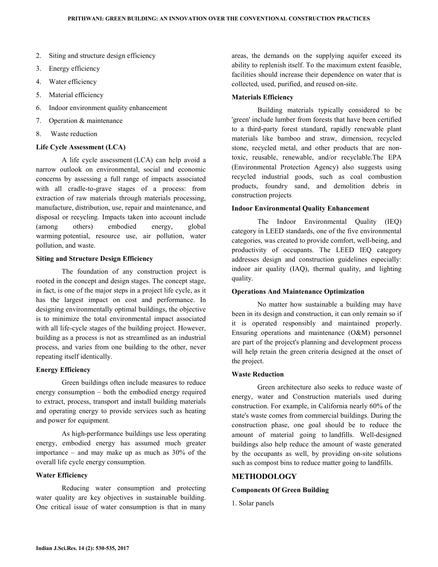- 2. Siting and structure design efficiency
- 3. Energy efficiency
- 4. Water efficiency
- 5. Material efficiency
- 6. Indoor environment quality enhancement
- 7. Operation & maintenance
- 8. Waste reduction

### **Life Cycle Assessment (LCA)**

 A life cycle assessment (LCA) can help avoid a narrow outlook on environmental, social and economic concerns by assessing a full range of impacts associated with all cradle-to-grave stages of a process: from extraction of raw materials through materials processing, manufacture, distribution, use, repair and maintenance, and disposal or recycling. Impacts taken into account include (among others) embodied energy, global warming potential, resource use, air pollution, water pollution, and waste.

### **Siting and Structure Design Efficiency**

 The foundation of any construction project is rooted in the concept and design stages. The concept stage, in fact, is one of the major steps in a project life cycle, as it has the largest impact on cost and performance. In designing environmentally optimal buildings, the objective is to minimize the total environmental impact associated with all life-cycle stages of the building project. However, building as a process is not as streamlined as an industrial process, and varies from one building to the other, never repeating itself identically.

#### **Energy Efficiency**

 Green buildings often include measures to reduce energy consumption – both the embodied energy required to extract, process, transport and install building materials and operating energy to provide services such as heating and power for equipment.

 As high-performance buildings use less operating energy, embodied energy has assumed much greater importance – and may make up as much as 30% of the overall life cycle energy consumption.

## **Water Efficiency**

 Reducing water consumption and protecting water quality are key objectives in sustainable building. One critical issue of water consumption is that in many areas, the demands on the supplying aquifer exceed its ability to replenish itself. To the maximum extent feasible, facilities should increase their dependence on water that is collected, used, purified, and reused on-site.

### **Materials Efficiency**

 Building materials typically considered to be 'green' include lumber from forests that have been certified to a third-party forest standard, rapidly renewable plant materials like bamboo and straw, dimension, recycled stone, recycled metal, and other products that are nontoxic, reusable, renewable, and/or recyclable.The EPA (Environmental Protection Agency) also suggests using recycled industrial goods, such as coal combustion products, foundry sand, and demolition debris in construction projects

## **Indoor Environmental Quality Enhancement**

 The Indoor Environmental Quality (IEQ) category in LEED standards, one of the five environmental categories, was created to provide comfort, well-being, and productivity of occupants. The LEED IEQ category addresses design and construction guidelines especially: indoor air quality (IAQ), thermal quality, and lighting quality.

#### **Operations And Maintenance Optimization**

 No matter how sustainable a building may have been in its design and construction, it can only remain so if it is operated responsibly and maintained properly. Ensuring operations and maintenance (O&M) personnel are part of the project's planning and development process will help retain the green criteria designed at the onset of the project.

### **Waste Reduction**

 Green architecture also seeks to reduce waste of energy, water and Construction materials used during construction. For example, in California nearly 60% of the state's waste comes from commercial buildings. During the construction phase, one goal should be to reduce the amount of material going to landfills. Well-designed buildings also help reduce the amount of waste generated by the occupants as well, by providing on-site solutions such as compost bins to reduce matter going to landfills.

## **METHODOLOGY**

### **Components Of Green Building**

1. Solar panels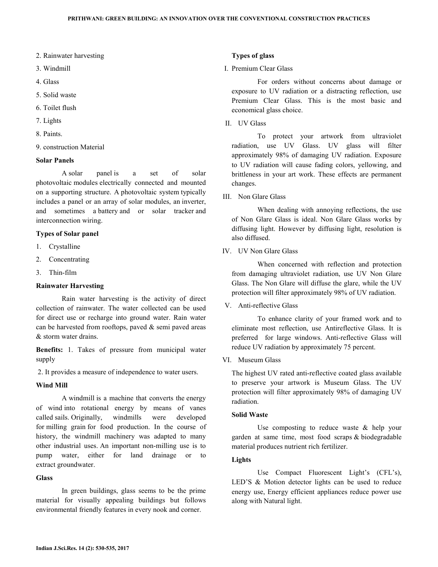- 2. Rainwater harvesting
- 3. Windmill
- 4. Glass
- 5. Solid waste
- 6. Toilet flush
- 7. Lights
- 8. Paints.
- 9. construction Material

#### **Solar Panels**

 A solar panel is a set of solar photovoltaic modules electrically connected and mounted on a supporting structure. A photovoltaic system typically includes a panel or an array of solar modules, an inverter, and sometimes a battery and or solar tracker and interconnection wiring.

#### **Types of Solar panel**

- 1. Crystalline
- 2. Concentrating
- 3. Thin-film

### **Rainwater Harvesting**

 Rain water harvesting is the activity of direct collection of rainwater. The water collected can be used for direct use or recharge into ground water. Rain water can be harvested from rooftops, paved  $\&$  semi paved areas & storm water drains.

**Benefits:** 1. Takes of pressure from municipal water supply

2. It provides a measure of independence to water users.

#### **Wind Mill**

 A windmill is a machine that converts the energy of wind into rotational energy by means of vanes called sails. Originally, windmills were developed for milling grain for food production. In the course of history, the windmill machinery was adapted to many other industrial uses. An important non-milling use is to pump water, either for land drainage or to extract groundwater.

#### **Glass**

 In green buildings, glass seems to be the prime material for visually appealing buildings but follows environmental friendly features in every nook and corner.

#### **Types of glass**

## I. Premium Clear Glass

 For orders without concerns about damage or exposure to UV radiation or a distracting reflection, use Premium Clear Glass. This is the most basic and economical glass choice.

II. UV Glass

 To protect your artwork from ultraviolet radiation, use UV Glass. UV glass will filter approximately 98% of damaging UV radiation. Exposure to UV radiation will cause fading colors, yellowing, and brittleness in your art work. These effects are permanent changes.

III. Non Glare Glass

 When dealing with annoying reflections, the use of Non Glare Glass is ideal. Non Glare Glass works by diffusing light. However by diffusing light, resolution is also diffused.

IV. UV Non Glare Glass

 When concerned with reflection and protection from damaging ultraviolet radiation, use UV Non Glare Glass. The Non Glare will diffuse the glare, while the UV protection will filter approximately 98% of UV radiation.

V. Anti-reflective Glass

 To enhance clarity of your framed work and to eliminate most reflection, use Antireflective Glass. It is preferred for large windows. Anti-reflective Glass will reduce UV radiation by approximately 75 percent.

VI. Museum Glass

The highest UV rated anti-reflective coated glass available to preserve your artwork is Museum Glass. The UV protection will filter approximately 98% of damaging UV radiation.

## **Solid Waste**

 Use composting to reduce waste & help your garden at same time, most food scraps & biodegradable material produces nutrient rich fertilizer.

### **Lights**

 Use Compact Fluorescent Light's (CFL's), LED'S & Motion detector lights can be used to reduce energy use, Energy efficient appliances reduce power use along with Natural light.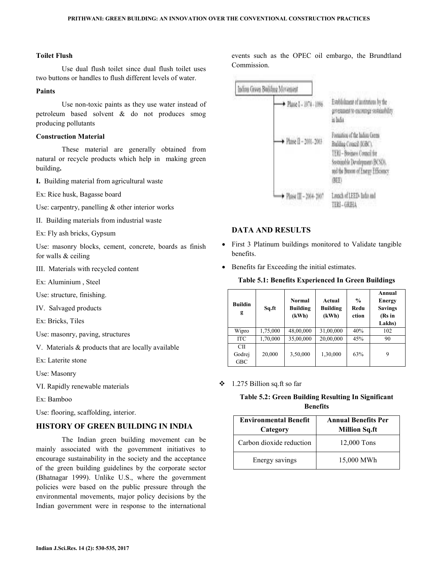## **Toilet Flush**

 Use dual flush toilet since dual flush toilet uses two buttons or handles to flush different levels of water.

## **Paints**

 Use non-toxic paints as they use water instead of petroleum based solvent & do not produces smog producing pollutants

### **Construction Material**

 These material are generally obtained from natural or recycle products which help in making green building**.** 

- **I.** Building material from agricultural waste
- Ex: Rice husk, Bagasse board
- Use: carpentry, panelling & other interior works
- II. Building materials from industrial waste
- Ex: Fly ash bricks, Gypsum

Use: masonry blocks, cement, concrete, boards as finish for walls & ceiling

- III. Materials with recycled content
- Ex: Aluminium , Steel
- Use: structure, finishing.
- IV. Salvaged products
- Ex: Bricks, Tiles
- Use: masonry, paving, structures
- V. Materials & products that are locally available
- Ex: Laterite stone
- Use: Masonry
- VI. Rapidly renewable materials
- Ex: Bamboo
- Use: flooring, scaffolding, interior.

## **HISTORY OF GREEN BUILDING IN INDIA**

 The Indian green building movement can be mainly associated with the government initiatives to encourage sustainability in the society and the acceptance of the green building guidelines by the corporate sector (Bhatnagar 1999). Unlike U.S., where the government policies were based on the public pressure through the environmental movements, major policy decisions by the Indian government were in response to the international

events such as the OPEC oil embargo, the Brundtland Commission.

| Indian Green Building Movement |                                                                                                                                                                              |
|--------------------------------|------------------------------------------------------------------------------------------------------------------------------------------------------------------------------|
| + Plase I - 1974 - 1996        | Euabhilment of automone by the<br>government to encourage sustainability.<br>in ladia                                                                                        |
| + Phase II - 2001-2003         | Formation of the hiding Green<br>Building Council (KiBC).<br>TERI - Business Conneil for<br>Sostainsble Development (BCSD).<br>and the Bureau of Energy Efficiency.<br>(BEF) |
| • Plase III - 2004-200         | Launch of LEED: Ind<br>TERI - GRIHA                                                                                                                                          |

## **DATA AND RESULTS**

- First 3 Platinum buildings monitored to Validate tangible benefits.
- Benefits far Exceeding the initial estimates.

## **Table 5.1: Benefits Experienced In Green Buildings**

| <b>Buildin</b><br>g        | Sq.ft    | <b>Normal</b><br><b>Building</b><br>(kWh) | Actual<br><b>Building</b><br>(kWh) | $\frac{0}{0}$<br>Redu<br>ction | Annual<br><b>Energy</b><br><b>Savings</b><br>(Rs in<br>Lakhs) |
|----------------------------|----------|-------------------------------------------|------------------------------------|--------------------------------|---------------------------------------------------------------|
| Wipro                      | 1,75,000 | 48,00,000                                 | 31,00,000                          | 40%                            | 102                                                           |
| <b>ITC</b>                 | 1,70,000 | 35,00,000                                 | 20,00,000                          | 45%                            | 90                                                            |
| CП<br>Godrej<br><b>GBC</b> | 20,000   | 3,50,000                                  | 1,30,000                           | 63%                            | 9                                                             |

1.275 Billion sq.ft so far

## **Table 5.2: Green Building Resulting In Significant Benefits**

| <b>Environmental Benefit</b><br>Category | <b>Annual Benefits Per</b><br><b>Million Sq.ft</b> |
|------------------------------------------|----------------------------------------------------|
| Carbon dioxide reduction                 | 12,000 Tons                                        |
| Energy savings                           | 15,000 MWh                                         |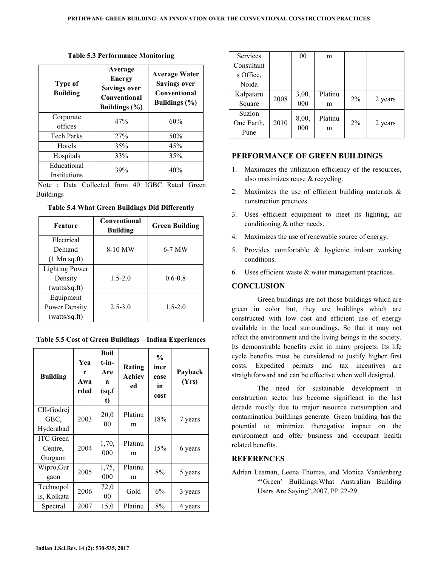| Type of<br><b>Building</b>  | Average<br><b>Energy</b><br><b>Savings over</b><br>Conventional<br><b>Buildings</b> (%) | <b>Average Water</b><br><b>Savings over</b><br>Conventional<br><b>Buildings</b> (%) |
|-----------------------------|-----------------------------------------------------------------------------------------|-------------------------------------------------------------------------------------|
| Corporate<br>offices        | 47%                                                                                     | 60%                                                                                 |
| <b>Tech Parks</b>           | 27%                                                                                     | 50%                                                                                 |
| Hotels                      | 35%                                                                                     | 45%                                                                                 |
| Hospitals                   | 33%                                                                                     | 35%                                                                                 |
| Educational<br>Institutions | 39%                                                                                     | 40%                                                                                 |

**Table 5.3 Performance Monitoring** 

 Note : Data Collected from 40 IGBC Rated Green Buildings

| Feature                | <b>Conventional</b><br><b>Building</b> | <b>Green Building</b> |
|------------------------|----------------------------------------|-----------------------|
| Electrical             |                                        |                       |
| Demand                 | 8-10 MW                                | 6-7 MW                |
| $(1 \text{ Mn sq.ft})$ |                                        |                       |
| <b>Lighting Power</b>  |                                        |                       |
| Density                | $1.5 - 2.0$                            | $06-08$               |
| (watts/sq.ft)          |                                        |                       |
| Equipment              |                                        |                       |
| <b>Power Density</b>   | $2.5 - 3.0$                            | $1.5 - 2.0$           |
| (watts/sq.ft)          |                                        |                       |

**Table 5.4 What Green Buildings Did Differently** 

| <b>Building</b>                        | Yea<br>r<br>Awa<br>rded | <b>Buil</b><br>$t$ -in-<br>Are<br>я<br>(sq.f)<br>t) | Rating<br>Achiev<br>ed | $\frac{0}{0}$<br>incr<br>ease<br>in<br>cost | Payback<br>(Yrs) |
|----------------------------------------|-------------------------|-----------------------------------------------------|------------------------|---------------------------------------------|------------------|
| CII-Godrej<br>GBC,<br>Hyderabad        | 2003                    | 20,0<br>0 <sub>0</sub>                              | Platinu<br>m           | 18%                                         | 7 years          |
| <b>ITC</b> Green<br>Centre,<br>Gurgaon | 2004                    | 1,70,<br>000                                        | Platinu<br>m           | 15%                                         | 6 years          |
| Wipro,Gur<br>gaon                      | 2005                    | 1,75,<br>000                                        | Platinu<br>m           | 8%                                          | 5 years          |
| Technopol<br>is, Kolkata               | 2006                    | 72,0<br>00                                          | Gold                   | 6%                                          | 3 years          |
| Spectral                               | 2007                    | 15,0                                                | Platinu                | 8%                                          | 4 years          |

| <b>Services</b> |      | 00           | m       |       |         |
|-----------------|------|--------------|---------|-------|---------|
| Consultant      |      |              |         |       |         |
| s Office,       |      |              |         |       |         |
| Noida           |      |              |         |       |         |
| Kalpataru       | 2008 | 3,00,        | Platinu | $2\%$ |         |
| Square          |      | 000          | m       |       | 2 years |
| Suzlon          |      |              | Platinu |       |         |
| One Earth,      | 2010 | 8,00,<br>000 |         | $2\%$ | 2 years |
| Pune            |      |              | m       |       |         |

## **PERFORMANCE OF GREEN BUILDINGS**

- 1. Maximizes the utilization efficiency of the resources, also maximizes reuse & recycling.
- 2. Maximizes the use of efficient building materials & construction practices.
- 3. Uses efficient equipment to meet its lighting, air conditioning & other needs.
- 4. Maximizes the use of renewable source of energy.
- 5. Provides comfortable & hygienic indoor working conditions.
- 6. Uses efficient waste & water management practices.

## **CONCLUSION**

 Green buildings are not those buildings which are green in color but, they are buildings which are constructed with low cost and efficient use of energy available in the local surroundings. So that it may not affect the environment and the living beings in the society. Its demonstrable benefits exist in many projects. Its life cycle benefits must be considered to justify higher first costs. Expedited permits and tax incentives are straightforward and can be effective when well designed.

 The need for sustainable development in construction sector has become significant in the last decade mostly due to major resource consumption and contamination buildings generate. Green building has the potential to minimize thenegative impact on the environment and offer business and occupant health related benefits.

## **REFERENCES**

Adrian Leaman, Leena Thomas, and Monica Vandenberg "'Green' Buildings:What Australian Building Users Are Saying",2007, PP 22-29.